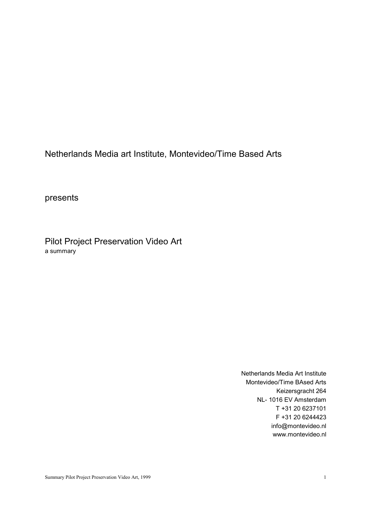Netherlands Media art Institute, Montevideo/Time Based Arts

presents

Pilot Project Preservation Video Art a summary

> Netherlands Media Art Institute Montevideo/Time BAsed Arts Keizersgracht 264 NL- 1016 EV Amsterdam T +31 20 6237101 F +31 20 6244423 info@montevideo.nl www.montevideo.nl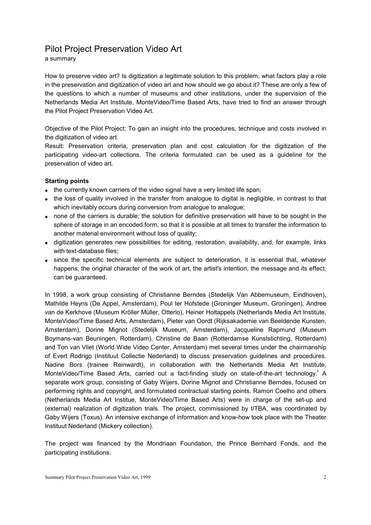# Pilot Project Preservation Video Art

a summary

How to preserve video art? Is digitization a legitimate solution to this problem; what factors play a role in the preservation and digitization of video art and how should we go about it? These are only a few of the questions to which a number of museums and other institutions, under the supervision of the Netherlands Media Art Institute, MonteVideo/Time Based Arts, have tried to find an answer through the Pilot Project Preservation Video Art.

Objective of the Pilot Project: To gain an insight into the procedures, technique and costs involved in the digitization of video art.

Result: Preservation criteria, preservation plan and cost calculation for the digitization of the participating video-art collections. The criteria formulated can be used as a guideline for the preservation of video art.

## **Starting points**

- the currently known carriers of the video signal have a very limited life span;
- the loss of quality involved in the transfer from analogue to digital is negligible, in contrast to that which inevitably occurs during conversion from analogue to analogue;
- none of the carriers is durable; the solution for definitive preservation will have to be sought in the sphere of storage in an encoded form, so that it is possible at all times to transfer the information to another material environment without loss of quality;
- digitization generates new possibilities for editing, restoration, availability, and, for example, links with text-database files;
- since the specific technical elements are subject to deterioration, it is essential that, whatever happens, the original character of the work of art, the artist's intention, the message and its effect, can be guaranteed.

In 1998, a work group consisting of Christianne Berndes (Stedelijk Van Abbemuseum, Eindhoven), Mathilde Heyns (De Appel, Amsterdam), Poul ter Hofstede (Groninger Museum, Groningen), Andree van de Kerkhove (Museum Kröller Müller, Otterlo), Heiner Holtappels (Netherlands Media Art Institute, MonteVideo/Time Based Arts, Amsterdam), Pieter van Oordt (Rijksakademie van Beeldende Kunsten, Amsterdam), Dorine Mignot (Stedelijk Museum, Amsterdam), Jacqueline Rapmund (Museum Boymans-van Beuningen, Rotterdam), Christine de Baan (Rotterdamse Kunststichting, Rotterdam) and Ton van Vliet (World Wide Video Center, Amsterdam) met several times under the chairmanship of Evert Rodrigo (Instituut Collectie Nederland) to discuss preservation guidelines and procedures. Nadine Bors (trainee Reinwardt), in collaboration with the Netherlands Media Art Institute, MonteVideo/Time Based Arts, carried out a fact-finding study on state-of-the-art technology.<sup>1</sup> A separate work group, consisting of Gaby Wijers, Dorine Mignot and Christianne Berndes, focused on performing rights and copyright, and formulated contractual starting points. Ramon Coelho and others (Netherlands Media Art Institue, MonteVideo/Time Based Arts) were in charge of the set-up and (external) realization of digitization trials. The project, commissioned by t/TBA, was coordinated by Gaby Wijers (Toxus). An intensive exchange of information and know-how took place with the Theater Instituut Nederland (Mickery collection).

The project was financed by the Mondriaan Foundation, the Prince Bernhard Fonds, and the participating institutions.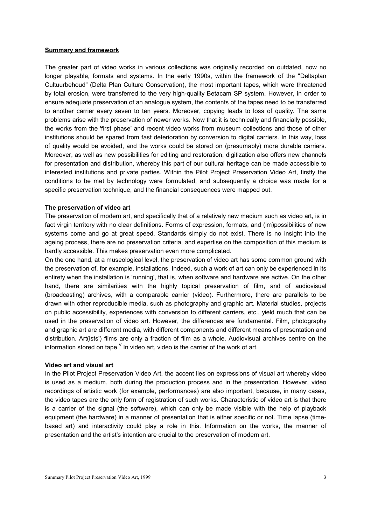### **Summary and framework**

The greater part of video works in various collections was originally recorded on outdated, now no longer playable, formats and systems. In the early 1990s, within the framework of the "Deltaplan Cultuurbehoud" (Delta Plan Culture Conservation), the most important tapes, which were threatened by total erosion, were transferred to the very high-quality Betacam SP system. However, in order to ensure adequate preservation of an analogue system, the contents of the tapes need to be transferred to another carrier every seven to ten years. Moreover, copying leads to loss of quality. The same problems arise with the preservation of newer works. Now that it is technically and financially possible, the works from the 'first phase' and recent video works from museum collections and those of other institutions should be spared from fast deterioration by conversion to digital carriers. In this way, loss of quality would be avoided, and the works could be stored on (presumably) more durable carriers. Moreover, as well as new possibilities for editing and restoration, digitization also offers new channels for presentation and distribution, whereby this part of our cultural heritage can be made accessible to interested institutions and private parties. Within the Pilot Project Preservation Video Art, firstly the conditions to be met by technology were formulated, and subsequently a choice was made for a specific preservation technique, and the financial consequences were mapped out.

#### **The preservation of video art**

The preservation of modern art, and specifically that of a relatively new medium such as video art, is in fact virgin territory with no clear definitions. Forms of expression, formats, and (im)possibilities of new systems come and go at great speed. Standards simply do not exist. There is no insight into the ageing process, there are no preservation criteria, and expertise on the composition of this medium is hardly accessible. This makes preservation even more complicated.

On the one hand, at a museological level, the preservation of video art has some common ground with the preservation of, for example, installations. Indeed, such a work of art can only be experienced in its entirety when the installation is 'running', that is, when software and hardware are active. On the other hand, there are similarities with the highly topical preservation of film, and of audiovisual (broadcasting) archives, with a comparable carrier (video). Furthermore, there are parallels to be drawn with other reproducible media, such as photography and graphic art. Material studies, projects on public accessibility, experiences with conversion to different carriers, etc., yield much that can be used in the preservation of video art. However, the differences are fundamental. Film, photography and graphic art are different media, with different components and different means of presentation and distribution. Art(ists') films are only a fraction of film as a whole. Audiovisual archives centre on the information stored on tape.  $V$  In video art, video is the carrier of the work of art.

### **Video art and visual art**

In the Pilot Project Preservation Video Art, the accent lies on expressions of visual art whereby video is used as a medium, both during the production process and in the presentation. However, video recordings of artistic work (for example, performances) are also important, because, in many cases, the video tapes are the only form of registration of such works. Characteristic of video art is that there is a carrier of the signal (the software), which can only be made visible with the help of playback equipment (the hardware) in a manner of presentation that is either specific or not. Time lapse (timebased art) and interactivity could play a role in this. Information on the works, the manner of presentation and the artist's intention are crucial to the preservation of modern art.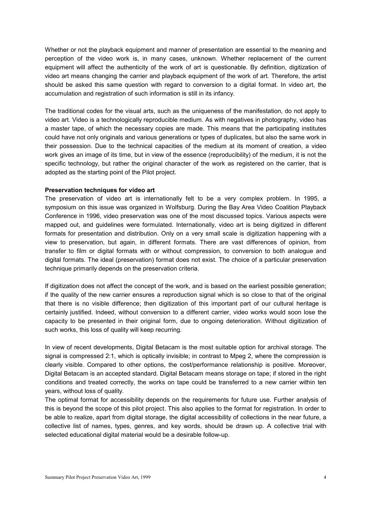Whether or not the playback equipment and manner of presentation are essential to the meaning and perception of the video work is, in many cases, unknown. Whether replacement of the current equipment will affect the authenticity of the work of art is questionable. By definition, digitization of video art means changing the carrier and playback equipment of the work of art. Therefore, the artist should be asked this same question with regard to conversion to a digital format. In video art, the accumulation and registration of such information is still in its infancy.

The traditional codes for the visual arts, such as the uniqueness of the manifestation, do not apply to video art. Video is a technologically reproducible medium. As with negatives in photography, video has a master tape, of which the necessary copies are made. This means that the participating institutes could have not only originals and various generations or types of duplicates, but also the same work in their possession. Due to the technical capacities of the medium at its moment of creation, a video work gives an image of its time, but in view of the essence (reproducibility) of the medium, it is not the specific technology, but rather the original character of the work as registered on the carrier, that is adopted as the starting point of the Pilot project.

#### **Preservation techniques for video art**

The preservation of video art is internationally felt to be a very complex problem. In 1995, a symposium on this issue was organized in Wolfsburg. During the Bay Area Video Coalition Playback Conference in 1996, video preservation was one of the most discussed topics. Various aspects were mapped out, and guidelines were formulated. Internationally, video art is being digitized in different formats for presentation and distribution. Only on a very small scale is digitization happening with a view to preservation, but again, in different formats. There are vast differences of opinion, from transfer to film or digital formats with or without compression, to conversion to both analogue and digital formats. The ideal (preservation) format does not exist. The choice of a particular preservation technique primarily depends on the preservation criteria.

If digitization does not affect the concept of the work, and is based on the earliest possible generation; if the quality of the new carrier ensures a reproduction signal which is so close to that of the original that there is no visible difference; then digitization of this important part of our cultural heritage is certainly justified. Indeed, without conversion to a different carrier, video works would soon lose the capacity to be presented in their original form, due to ongoing deterioration. Without digitization of such works, this loss of quality will keep recurring.

In view of recent developments, Digital Betacam is the most suitable option for archival storage. The signal is compressed 2:1, which is optically invisible; in contrast to Mpeg 2, where the compression is clearly visible. Compared to other options, the cost/performance relationship is positive. Moreover, Digital Betacam is an accepted standard. Digital Betacam means storage on tape; if stored in the right conditions and treated correctly, the works on tape could be transferred to a new carrier within ten years, without loss of quality.

The optimal format for accessibility depends on the requirements for future use. Further analysis of this is beyond the scope of this pilot project. This also applies to the format for registration. In order to be able to realize, apart from digital storage, the digital accessibility of collections in the near future, a collective list of names, types, genres, and key words, should be drawn up. A collective trial with selected educational digital material would be a desirable follow-up.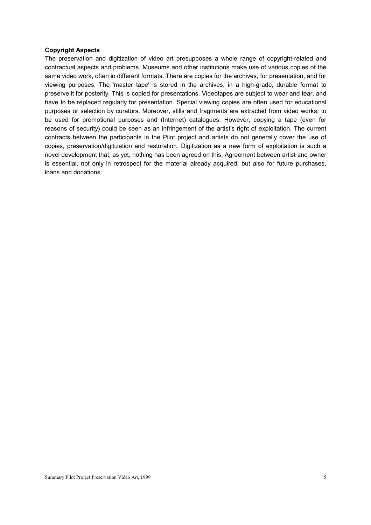## **Copyright Aspects**

The preservation and digitization of video art presupposes a whole range of copyright-related and contractual aspects and problems. Museums and other institutions make use of various copies of the same video work, often in different formats. There are copies for the archives, for presentation, and for viewing purposes. The 'master tape' is stored in the archives, in a high-grade, durable format to preserve it for posterity. This is copied for presentations. Videotapes are subject to wear and tear, and have to be replaced regularly for presentation. Special viewing copies are often used for educational purposes or selection by curators. Moreover, stills and fragments are extracted from video works, to be used for promotional purposes and (Internet) catalogues. However, copying a tape (even for reasons of security) could be seen as an infringement of the artist's right of exploitation. The current contracts between the participants in the Pilot project and artists do not generally cover the use of copies, preservation/digitization and restoration. Digitization as a new form of exploitation is such a novel development that, as yet, nothing has been agreed on this. Agreement between artist and owner is essential, not only in retrospect for the material already acquired, but also for future purchases, loans and donations.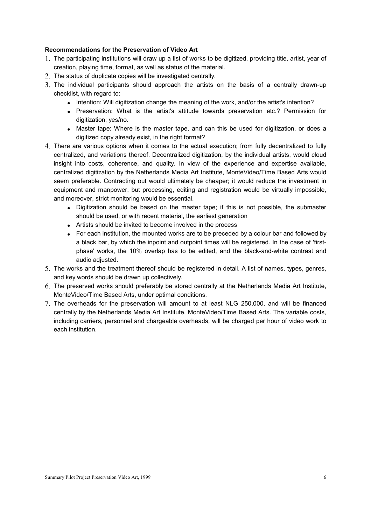## **Recommendations for the Preservation of Video Art**

- 1. The participating institutions will draw up a list of works to be digitized, providing title, artist, year of creation, playing time, format, as well as status of the material.
- 2. The status of duplicate copies will be investigated centrally.
- 3. The individual participants should approach the artists on the basis of a centrally drawn-up checklist, with regard to:
	- Intention: Will digitization change the meaning of the work, and/or the artist's intention?
	- Preservation: What is the artist's attitude towards preservation etc.? Permission for digitization; yes/no.
	- Master tape: Where is the master tape, and can this be used for digitization, or does a digitized copy already exist, in the right format?
- 4. There are various options when it comes to the actual execution; from fully decentralized to fully centralized, and variations thereof. Decentralized digitization, by the individual artists, would cloud insight into costs, coherence, and quality. In view of the experience and expertise available, centralized digitization by the Netherlands Media Art Institute, MonteVideo/Time Based Arts would seem preferable. Contracting out would ultimately be cheaper; it would reduce the investment in equipment and manpower, but processing, editing and registration would be virtually impossible, and moreover, strict monitoring would be essential.
	- Digitization should be based on the master tape; if this is not possible, the submaster should be used, or with recent material, the earliest generation
	- Artists should be invited to become involved in the process
	- For each institution, the mounted works are to be preceded by a colour bar and followed by a black bar, by which the inpoint and outpoint times will be registered. In the case of 'firstphase' works, the 10% overlap has to be edited, and the black-and-white contrast and audio adjusted.
- 5. The works and the treatment thereof should be registered in detail. A list of names, types, genres, and key words should be drawn up collectively.
- 6. The preserved works should preferably be stored centrally at the Netherlands Media Art Institute, MonteVideo/Time Based Arts, under optimal conditions.
- 7. The overheads for the preservation will amount to at least NLG 250,000, and will be financed centrally by the Netherlands Media Art Institute, MonteVideo/Time Based Arts. The variable costs, including carriers, personnel and chargeable overheads, will be charged per hour of video work to each institution.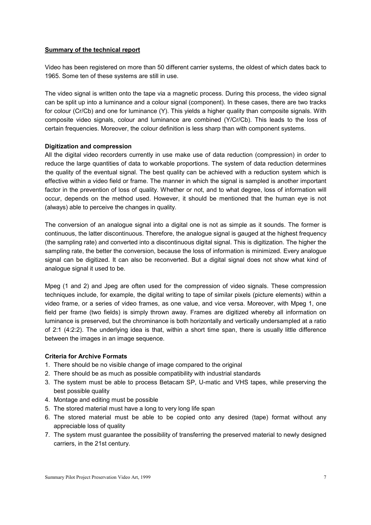## **Summary of the technical report**

Video has been registered on more than 50 different carrier systems, the oldest of which dates back to 1965. Some ten of these systems are still in use.

The video signal is written onto the tape via a magnetic process. During this process, the video signal can be split up into a luminance and a colour signal (component). In these cases, there are two tracks for colour (Cr/Cb) and one for luminance (Y). This yields a higher quality than composite signals. With composite video signals, colour and luminance are combined (Y/Cr/Cb). This leads to the loss of certain frequencies. Moreover, the colour definition is less sharp than with component systems.

## **Digitization and compression**

All the digital video recorders currently in use make use of data reduction (compression) in order to reduce the large quantities of data to workable proportions. The system of data reduction determines the quality of the eventual signal. The best quality can be achieved with a reduction system which is effective within a video field or frame. The manner in which the signal is sampled is another important factor in the prevention of loss of quality. Whether or not, and to what degree, loss of information will occur, depends on the method used. However, it should be mentioned that the human eye is not (always) able to perceive the changes in quality.

The conversion of an analogue signal into a digital one is not as simple as it sounds. The former is continuous, the latter discontinuous. Therefore, the analogue signal is gauged at the highest frequency (the sampling rate) and converted into a discontinuous digital signal. This is digitization. The higher the sampling rate, the better the conversion, because the loss of information is minimized. Every analogue signal can be digitized. It can also be reconverted. But a digital signal does not show what kind of analogue signal it used to be.

Mpeg (1 and 2) and Jpeg are often used for the compression of video signals. These compression techniques include, for example, the digital writing to tape of similar pixels (picture elements) within a video frame, or a series of video frames, as one value, and vice versa. Moreover, with Mpeg 1, one field per frame (two fields) is simply thrown away. Frames are digitized whereby all information on luminance is preserved, but the chrominance is both horizontally and vertically undersampled at a ratio of 2:1 (4:2:2). The underlying idea is that, within a short time span, there is usually little difference between the images in an image sequence.

## **Criteria for Archive Formats**

- 1. There should be no visible change of image compared to the original
- 2. There should be as much as possible compatibility with industrial standards
- 3. The system must be able to process Betacam SP, U-matic and VHS tapes, while preserving the best possible quality
- 4. Montage and editing must be possible
- 5. The stored material must have a long to very long life span
- 6. The stored material must be able to be copied onto any desired (tape) format without any appreciable loss of quality
- 7. The system must guarantee the possibility of transferring the preserved material to newly designed carriers, in the 21st century.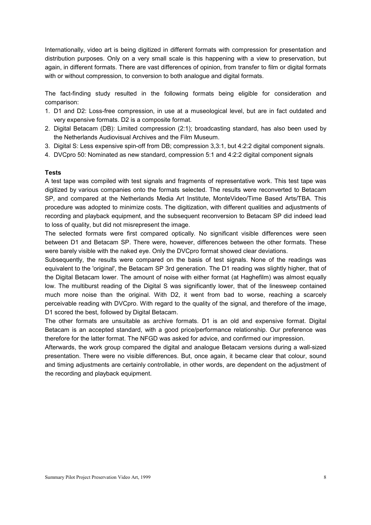Internationally, video art is being digitized in different formats with compression for presentation and distribution purposes. Only on a very small scale is this happening with a view to preservation, but again, in different formats. There are vast differences of opinion, from transfer to film or digital formats with or without compression, to conversion to both analogue and digital formats.

The fact-finding study resulted in the following formats being eligible for consideration and comparison:

- 1. D1 and D2: Loss-free compression, in use at a museological level, but are in fact outdated and very expensive formats. D2 is a composite format.
- 2. Digital Betacam (DB): Limited compression (2:1); broadcasting standard, has also been used by the Netherlands Audiovisual Archives and the Film Museum.
- 3. Digital S: Less expensive spin-off from DB; compression 3,3:1, but 4:2:2 digital component signals.
- 4. DVCpro 50: Nominated as new standard, compression 5:1 and 4:2:2 digital component signals

## **Tests**

A test tape was compiled with test signals and fragments of representative work. This test tape was digitized by various companies onto the formats selected. The results were reconverted to Betacam SP, and compared at the Netherlands Media Art Institute, MonteVideo/Time Based Arts/TBA. This procedure was adopted to minimize costs. The digitization, with different qualities and adjustments of recording and playback equipment, and the subsequent reconversion to Betacam SP did indeed lead to loss of quality, but did not misrepresent the image.

The selected formats were first compared optically. No significant visible differences were seen between D1 and Betacam SP. There were, however, differences between the other formats. These were barely visible with the naked eye. Only the DVCpro format showed clear deviations.

Subsequently, the results were compared on the basis of test signals. None of the readings was equivalent to the 'original', the Betacam SP 3rd generation. The D1 reading was slightly higher, that of the Digital Betacam lower. The amount of noise with either format (at Haghefilm) was almost equally low. The multiburst reading of the Digital S was significantly lower, that of the linesweep contained much more noise than the original. With D2, it went from bad to worse, reaching a scarcely perceivable reading with DVCpro. With regard to the quality of the signal, and therefore of the image, D1 scored the best, followed by Digital Betacam.

The other formats are unsuitable as archive formats. D1 is an old and expensive format. Digital Betacam is an accepted standard, with a good price/performance relationship. Our preference was therefore for the latter format. The NFGD was asked for advice, and confirmed our impression.

Afterwards, the work group compared the digital and analogue Betacam versions during a wall-sized presentation. There were no visible differences. But, once again, it became clear that colour, sound and timing adjustments are certainly controllable, in other words, are dependent on the adjustment of the recording and playback equipment.